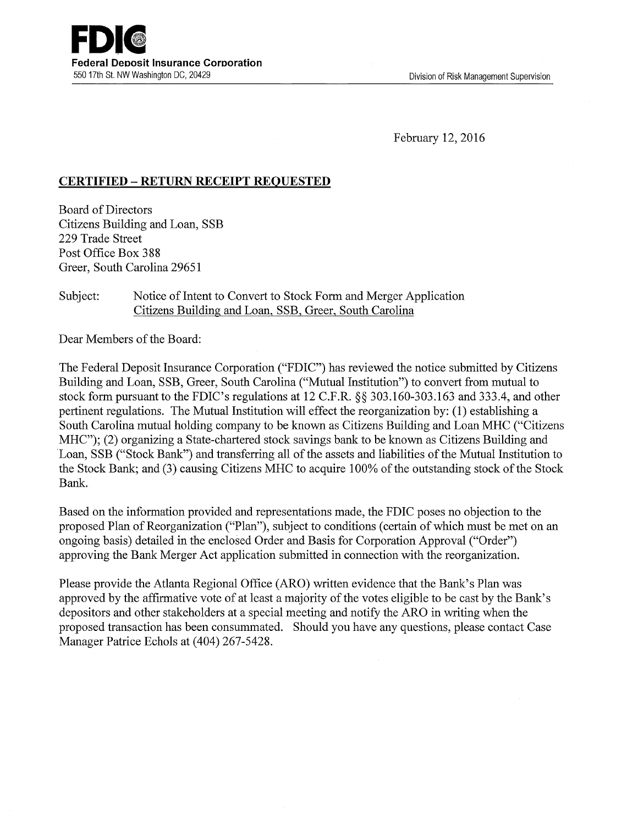February 12, 2016

## **CERTIFIED- RETURN RECEIPT REQUESTED**

Board of Directors Citizens Building and Loan, SSB 229 Trade Street Post Office Box 388 Greer, South Carolina 29651

## Subject: Notice of Intent to Convert to Stock Form and Merger Application Citizens Building and Loan, SSB, Greer, South Carolina

Dear Members of the Board:

The Federal Deposit Insurance Corporation ("FDIC") has reviewed the notice submitted by Citizens Building and Loan, SSB, Greer, South Carolina ("Mutual Institution") to convert from mutual to stock form pursuant to the FDIC's regulations at 12 C.P.R.§§ 303.160-303.163 and 333.4, and other pertinent regulations. The Mutual Institution will effect the reorganization by: (1) establishing a South Carolina mutual holding company to be known as Citizens Building and Loan MHC ("Citizens MHC"); (2) organizing a State-chartered stock savings bank to be known as Citizens Building and Loan, SSB ("Stock Bank") and transferring all of the assets and liabilities of the Mutual Institution to the Stock Bank; and (3) causing Citizens MHC to acquire 100% of the outstanding stock of the Stock Bank.

Based on the information provided and representations made, the FDIC poses no objection to the proposed Plan of Reorganization ("Plan"), subject to conditions (certain of which must be met on an ongoing basis) detailed in the enclosed Order and Basis for Corporation Approval ("Order") approving the Bank Merger Act application submitted in connection with the reorganization.

Please provide the Atlanta Regional Office (ARO) written evidence that the Bank's Plan was approved by the affirmative vote of at least a majority of the votes eligible to be cast by the Bank's depositors and other stakeholders at a special meeting and notify the ARO in writing when the proposed transaction has been consummated. Should you have any questions, please contact Case Manager Patrice Echols at (404) 267-5428.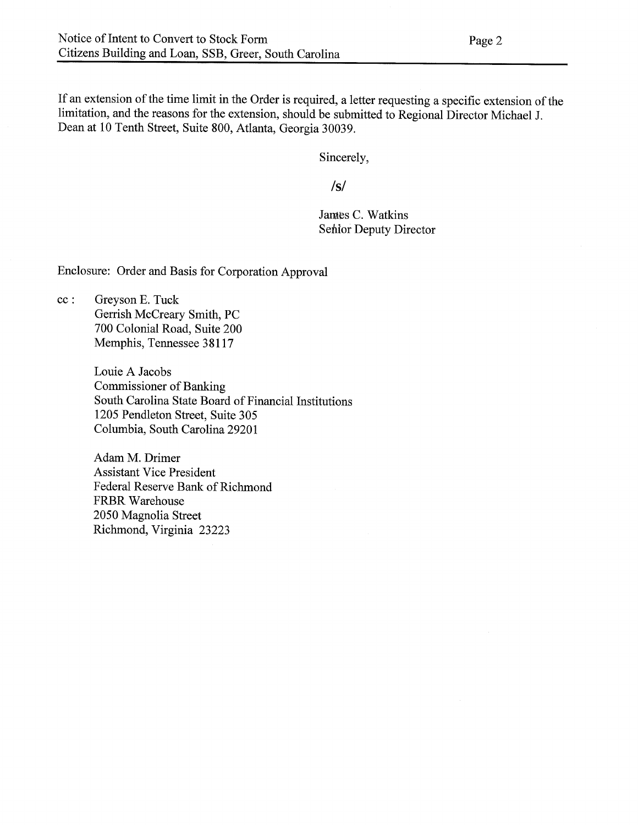If an extension of the time limit in the Order is required, a letter requesting a specific extension of the limitation, and the reasons for the extension, should be submitted to Regional Director Michael J. Dean at 10 Tenth Street, Suite 800, Atlanta, Georgia 30039.

Sincerely,

**/s/**

James C. Watkins Senior Deputy Director

Enclosure: Order and Basis for Corporation Approval

cc : Greyson E. Tuck Gerrish McCreary Smith, PC 700 Colonial Road, Suite 200 Memphis, Tennessee 38117

> Louie A Jacobs Commissioner of Banking South Carolina State Board of Financial Institutions 1205 Pendleton Street, Suite 305 Columbia, South Carolina 29201

Adam M. Drimer Assistant Vice President Federal Reserve Bank of Richmond FRBR Warehouse 2050 Magnolia Street Richmond, Virginia 23223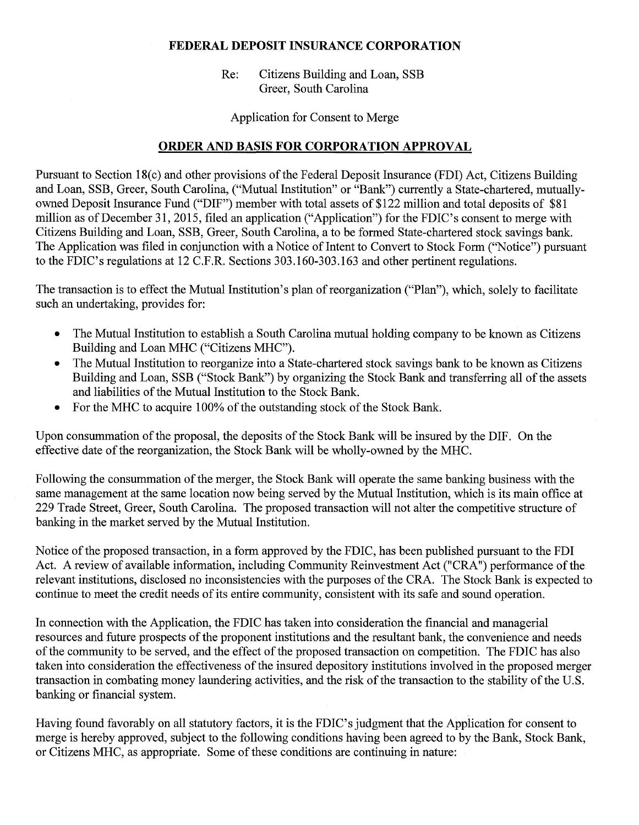## **FEDERAL DEPOSIT INSURANCE CORPORATION**

Re: Citizens Building and Loan, SSB Greer, South Carolina

Application for Consent to Merge

## **ORDER AND BASIS FOR CORPORATION APPROVAL**

Pursuant to Section 18(c) and other provisions of the Federal Deposit Insurance (FDI) Act, Citizens Building and Loan, SSB, Greer, South Carolina, ("Mutual Institution" or "Bank") currently a State-chartered, mutuallyowned Deposit Insurance Fund ("DIF") member with total assets of \$122 million and total deposits of \$81 million as of December 31, 2015, filed an application ("Application") for the FDIC's consent to merge with Citizens Building and Loan, SSB, Greer, South Carolina, a to be formed State-chartered stock savings bank. The Application was filed in conjunction with a Notice of Intent to Convert to Stock Form ("Notice") pursuant to the FDIC's regulations at 12 C.P.R. Sections 303.160-303.163 and other pertinent regulations.

The transaction is to effect the Mutual Institution's plan of reorganization ("Plan"), which, solely to facilitate such an undertaking, provides for:

- The Mutual Institution to establish a South Carolina mutual holding company to be known as Citizens Building and Loan MHC ("Citizens MHC").
- The Mutual Institution to reorganize into a State-chartered stock savings bank to be known as Citizens Building and Loan, SSB ("Stock Bank") by organizing the Stock Bank and transferring all of the assets and liabilities of the Mutual Institution to the Stock Bank.
- For the MHC to acquire 100% of the outstanding stock of the Stock Bank.

Upon consummation of the proposal, the deposits of the Stock Bank will be insured by the DIF. On the effective date of the reorganization, the Stock Bank will be wholly-owned by the MHC.

Following the consummation of the merger, the Stock Bank will operate the same banking business with the same management at the same location now being served by the Mutual Institution, which is its main office at 229 Trade Street, Greer, South Carolina. The proposed transaction will not alter the competitive structure of banking in the market served by the Mutual Institution.

Notice of the proposed transaction, in a form approved by the FDIC, has been published pursuant to the FDI Act. A review of available information, including Community Reinvestment Act ("CRA") performance of the relevant institutions, disclosed no inconsistencies with the purposes of the CRA. The Stock Bank is expected to continue to meet the credit needs of its entire community, consistent with its safe and sound operation.

In connection with the Application, the FDIC has taken into consideration the financial and managerial resources and future prospects of the proponent institutions and the resultant bank, the convenience and needs of the community to be served, and the effect of the proposed transaction on competition. The FDIC has also taken into consideration the effectiveness of the insured depository institutions involved in the proposed merger transaction in combating money laundering activities, and the risk of the transaction to the stability of the U.S. banking or financial system.

Having found favorably on all statutory factors, it is the FDIC's judgment that the Application for consent to merge is hereby approved, subject to the following conditions having been agreed to by the Bank, Stock Bank, or Citizens MHC, as appropriate. Some of these conditions are continuing in nature: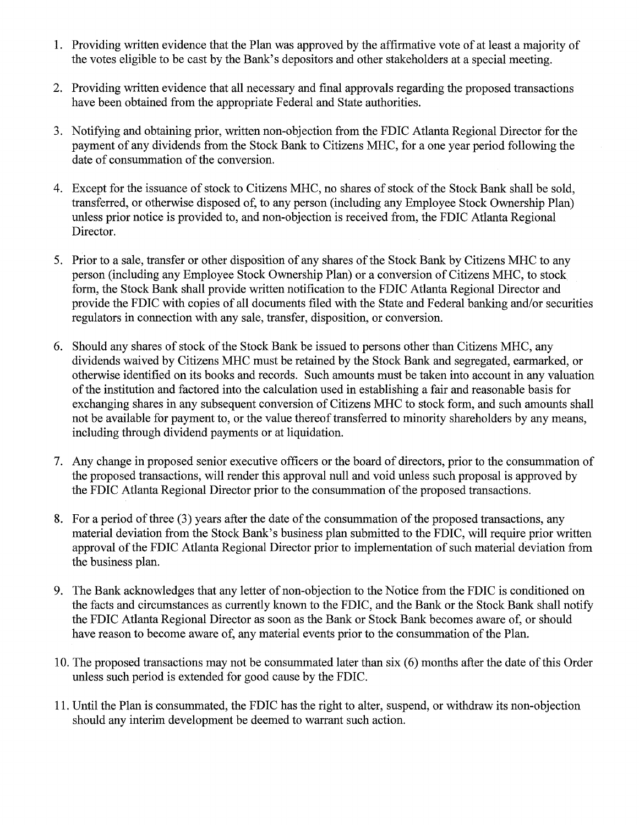- 1. Providing written evidence that the Plan was approved by the affirmative vote of at least a majority of the votes eligible to be cast by the Bank's depositors and other stakeholders at a special meeting.
- 2. Providing written evidence that all necessary and final approvals regarding the proposed transactions have been obtained from the appropriate Federal and State authorities.
- 3. Notifying and obtaining prior, written non-objection from the FDIC Atlanta Regional Director for the payment of any dividends from the Stock Bank to Citizens MHC, for a one year period following the date of consummation of the conversion.
- 4. Except for the issuance of stock to Citizens MHC, no shares of stock of the Stock Bank shall be sold, transferred, or otherwise disposed of, to any person (including any Employee Stock Ownership Plan) unless prior notice is provided to, and non-objection is received from, the FDIC Atlanta Regional Director.
- 5. Prior to a sale, transfer or other disposition of any shares of the Stock Bank by Citizens MHC to any person (including any Employee Stock Ownership Plan) or a conversion of Citizens MHC, to stock form, the Stock Bank shall provide written notification to the FDIC Atlanta Regional Director and provide the FDIC with copies of all documents filed with the State and Federal banking and/or securities regulators in connection with any sale, transfer, disposition, or conversion.
- 6. Should any shares of stock of the Stock Bank be issued to persons other than Citizens MHC, any dividends waived by Citizens MHC must be retained by the Stock Bank and segregated, earmarked, or otherwise identified on its books and records. Such amounts must be taken into account in any valuation of the institution and factored into the calculation used in establishing a fair and reasonable basis for exchanging shares in any subsequent conversion of Citizens MHC to stock form, and such amounts shall not be available for payment to, or the value thereof transferred to minority shareholders by any means, including through dividend payments or at liquidation.
- 7. Any change in proposed senior executive officers or the board of directors, prior to the consummation of the proposed transactions, will render this approval null and void unless such proposal is approved by the FDIC Atlanta Regional Director prior to the consummation of the proposed transactions.
- 8. For a period of three (3) years after the date of the consummation of the proposed transactions, any material deviation from the Stock Bank's business plan submitted to the FDIC, will require prior written approval of the FDIC Atlanta Regional Director prior to implementation of such material deviation from the business plan.
- 9. The Bank acknowledges that any letter of non-objection to the Notice from the FDIC is conditioned on the facts and circumstances as currently known to the FDIC, and the Bank or the Stock Bank shall notify the FDIC Atlanta Regional Director as soon as the Bank or Stock Bank becomes aware of, or should have reason to become aware of, any material events prior to the consummation of the Plan.
- 10. The proposed transactions may not be consummated later than six (6) months after the date of this Order unless such period is extended for good cause by the FDIC.
- 11. Until the Plan is consummated, the FDIC has the right to alter, suspend, or withdraw its non-objection should any interim development be deemed to warrant such action.